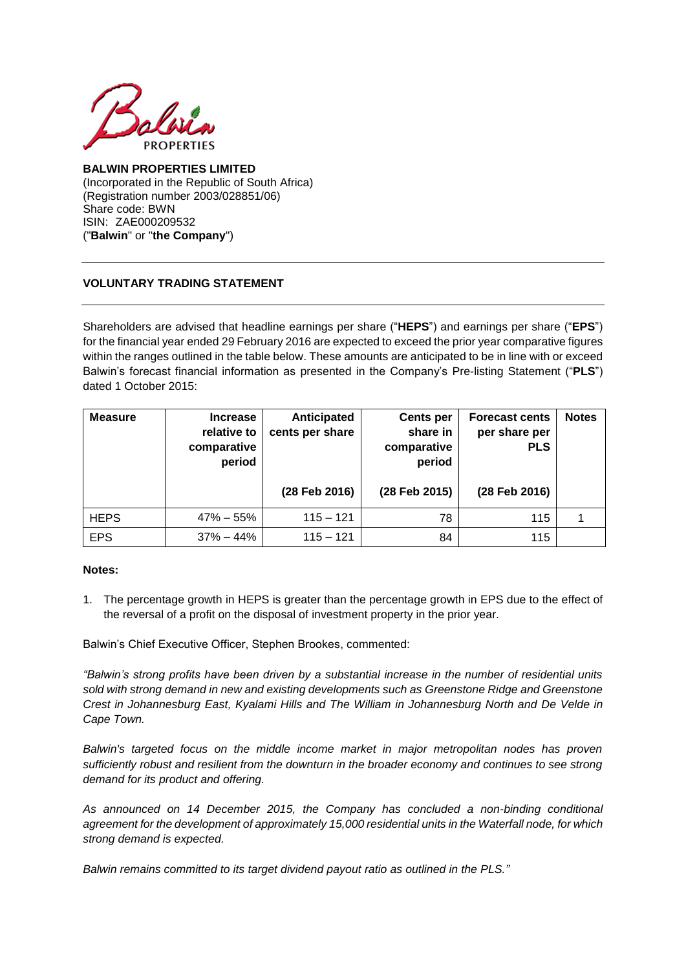

## **BALWIN PROPERTIES LIMITED** (Incorporated in the Republic of South Africa) (Registration number 2003/028851/06) Share code: BWN ISIN: ZAE000209532 ("**Balwin**" or "**the Company**")

## **VOLUNTARY TRADING STATEMENT**

Shareholders are advised that headline earnings per share ("**HEPS**") and earnings per share ("**EPS**") for the financial year ended 29 February 2016 are expected to exceed the prior year comparative figures within the ranges outlined in the table below. These amounts are anticipated to be in line with or exceed Balwin's forecast financial information as presented in the Company's Pre-listing Statement ("**PLS**") dated 1 October 2015:

| <b>Measure</b> | <b>Increase</b><br>relative to<br>comparative<br>period | Anticipated<br>cents per share | <b>Cents per</b><br>share in<br>comparative<br>period | <b>Forecast cents</b><br>per share per<br><b>PLS</b> | <b>Notes</b> |
|----------------|---------------------------------------------------------|--------------------------------|-------------------------------------------------------|------------------------------------------------------|--------------|
|                |                                                         | (28 Feb 2016)                  | (28 Feb 2015)                                         | (28 Feb 2016)                                        |              |
| <b>HEPS</b>    | $47\% - 55\%$                                           | $115 - 121$                    | 78                                                    | 115                                                  |              |
| <b>EPS</b>     | $37\% - 44\%$                                           | $115 - 121$                    | 84                                                    | 115                                                  |              |

## **Notes:**

1. The percentage growth in HEPS is greater than the percentage growth in EPS due to the effect of the reversal of a profit on the disposal of investment property in the prior year.

Balwin's Chief Executive Officer, Stephen Brookes, commented:

*"Balwin's strong profits have been driven by a substantial increase in the number of residential units sold with strong demand in new and existing developments such as Greenstone Ridge and Greenstone Crest in Johannesburg East, Kyalami Hills and The William in Johannesburg North and De Velde in Cape Town.*

*Balwin's targeted focus on the middle income market in major metropolitan nodes has proven sufficiently robust and resilient from the downturn in the broader economy and continues to see strong demand for its product and offering.*

*As announced on 14 December 2015, the Company has concluded a non-binding conditional agreement for the development of approximately 15,000 residential units in the Waterfall node, for which strong demand is expected.*

*Balwin remains committed to its target dividend payout ratio as outlined in the PLS."*